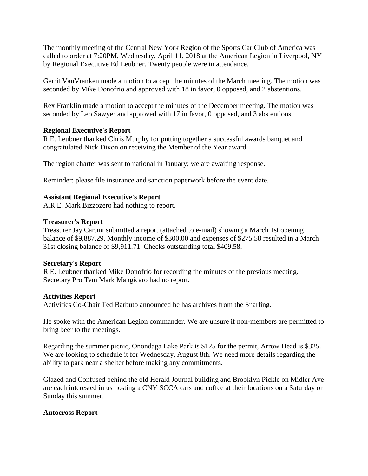The monthly meeting of the Central New York Region of the Sports Car Club of America was called to order at 7:20PM, Wednesday, April 11, 2018 at the American Legion in Liverpool, NY by Regional Executive Ed Leubner. Twenty people were in attendance.

Gerrit VanVranken made a motion to accept the minutes of the March meeting. The motion was seconded by Mike Donofrio and approved with 18 in favor, 0 opposed, and 2 abstentions.

Rex Franklin made a motion to accept the minutes of the December meeting. The motion was seconded by Leo Sawyer and approved with 17 in favor, 0 opposed, and 3 abstentions.

## **Regional Executive's Report**

R.E. Leubner thanked Chris Murphy for putting together a successful awards banquet and congratulated Nick Dixon on receiving the Member of the Year award.

The region charter was sent to national in January; we are awaiting response.

Reminder: please file insurance and sanction paperwork before the event date.

## **Assistant Regional Executive's Report**

A.R.E. Mark Bizzozero had nothing to report.

## **Treasurer's Report**

Treasurer Jay Cartini submitted a report (attached to e-mail) showing a March 1st opening balance of \$9,887.29. Monthly income of \$300.00 and expenses of \$275.58 resulted in a March 31st closing balance of \$9,911.71. Checks outstanding total \$409.58.

#### **Secretary's Report**

R.E. Leubner thanked Mike Donofrio for recording the minutes of the previous meeting. Secretary Pro Tem Mark Mangicaro had no report.

#### **Activities Report**

Activities Co-Chair Ted Barbuto announced he has archives from the Snarling.

He spoke with the American Legion commander. We are unsure if non-members are permitted to bring beer to the meetings.

Regarding the summer picnic, Onondaga Lake Park is \$125 for the permit, Arrow Head is \$325. We are looking to schedule it for Wednesday, August 8th. We need more details regarding the ability to park near a shelter before making any commitments.

Glazed and Confused behind the old Herald Journal building and Brooklyn Pickle on Midler Ave are each interested in us hosting a CNY SCCA cars and coffee at their locations on a Saturday or Sunday this summer.

# **Autocross Report**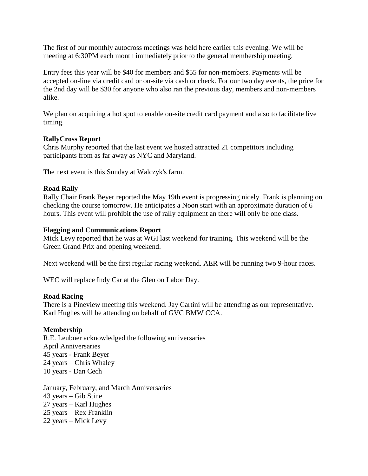The first of our monthly autocross meetings was held here earlier this evening. We will be meeting at 6:30PM each month immediately prior to the general membership meeting.

Entry fees this year will be \$40 for members and \$55 for non-members. Payments will be accepted on-line via credit card or on-site via cash or check. For our two day events, the price for the 2nd day will be \$30 for anyone who also ran the previous day, members and non-members alike.

We plan on acquiring a hot spot to enable on-site credit card payment and also to facilitate live timing.

## **RallyCross Report**

Chris Murphy reported that the last event we hosted attracted 21 competitors including participants from as far away as NYC and Maryland.

The next event is this Sunday at Walczyk's farm.

## **Road Rally**

Rally Chair Frank Beyer reported the May 19th event is progressing nicely. Frank is planning on checking the course tomorrow. He anticipates a Noon start with an approximate duration of 6 hours. This event will prohibit the use of rally equipment an there will only be one class.

## **Flagging and Communications Report**

Mick Levy reported that he was at WGI last weekend for training. This weekend will be the Green Grand Prix and opening weekend.

Next weekend will be the first regular racing weekend. AER will be running two 9-hour races.

WEC will replace Indy Car at the Glen on Labor Day.

#### **Road Racing**

There is a Pineview meeting this weekend. Jay Cartini will be attending as our representative. Karl Hughes will be attending on behalf of GVC BMW CCA.

#### **Membership**

R.E. Leubner acknowledged the following anniversaries April Anniversaries 45 years - Frank Beyer 24 years – Chris Whaley 10 years - Dan Cech

January, February, and March Anniversaries 43 years – Gib Stine 27 years – Karl Hughes 25 years – Rex Franklin 22 years – Mick Levy